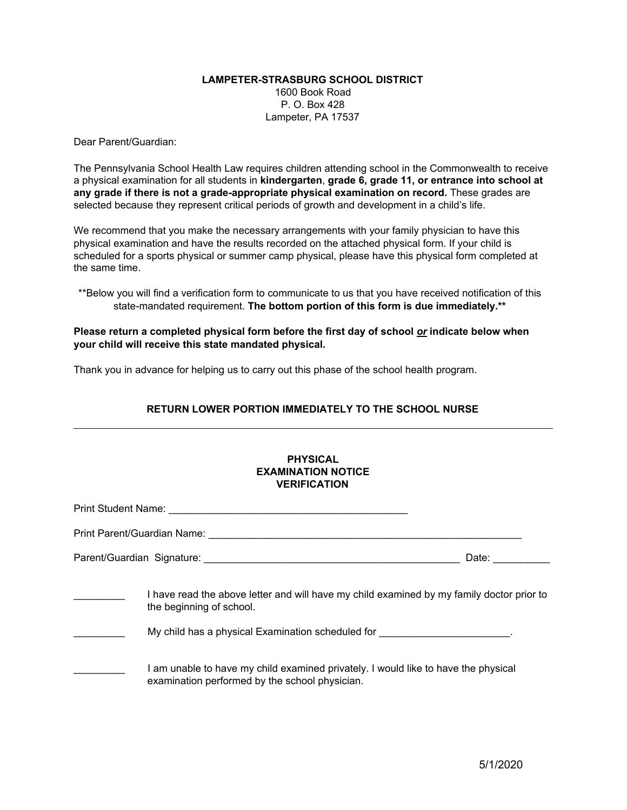## **LAMPETER-STRASBURG SCHOOL DISTRICT** 1600 Book Road P. O. Box 428 Lampeter, PA 17537

Dear Parent/Guardian:

The Pennsylvania School Health Law requires children attending school in the Commonwealth to receive a physical examination for all students in **kindergarten**, **grade 6, grade 11, or entrance into school at any grade if there is not a grade-appropriate physical examination on record.** These grades are selected because they represent critical periods of growth and development in a child's life.

We recommend that you make the necessary arrangements with your family physician to have this physical examination and have the results recorded on the attached physical form. If your child is scheduled for a sports physical or summer camp physical, please have this physical form completed at the same time.

\*\*Below you will find a verification form to communicate to us that you have received notification of this state-mandated requirement. **The bottom portion of this form is due immediately.\*\***

**Please return a completed physical form before the first day of school** *or* **indicate below when your child will receive this state mandated physical.**

Thank you in advance for helping us to carry out this phase of the school health program.

## **RETURN LOWER PORTION IMMEDIATELY TO THE SCHOOL NURSE**

|  | <b>PHYSICAL</b><br><b>EXAMINATION NOTICE</b><br><b>VERIFICATION</b>                                                                                                                                  |                                                                                                                |
|--|------------------------------------------------------------------------------------------------------------------------------------------------------------------------------------------------------|----------------------------------------------------------------------------------------------------------------|
|  |                                                                                                                                                                                                      |                                                                                                                |
|  |                                                                                                                                                                                                      |                                                                                                                |
|  |                                                                                                                                                                                                      | Date: and the state of the state of the state of the state of the state of the state of the state of the state |
|  | I have read the above letter and will have my child examined by my family doctor prior to<br>the beginning of school.<br>My child has a physical Examination scheduled for ________________________. |                                                                                                                |
|  | I am unable to have my child examined privately. I would like to have the physical<br>examination performed by the school physician.                                                                 |                                                                                                                |